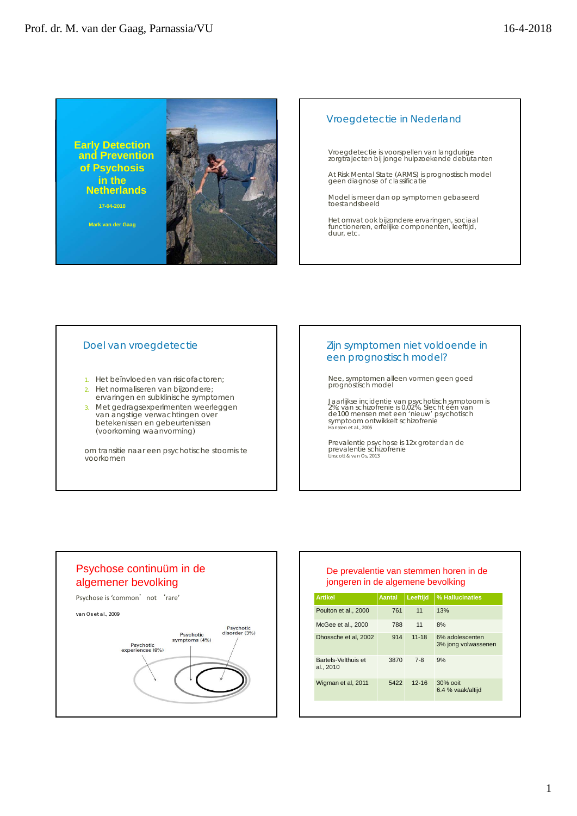**Early Detection and Prevention of Psychosis in the Netherlands 17-04-2018**

**Mark van der Gaag**



#### Vroegdetectie in Nederland

Vroegdetectie is voorspellen van langdurige zorgtrajecten bij jonge hulpzoekende debutanten

At Risk Mental State (ARMS) is prognostisch model geen diagnose of classificatie

Model is meer dan op symptomen gebaseerd toestandsbeeld

Het omvat ook bijzondere ervaringen, sociaal functioneren, erfelijke componenten, leeftijd, duur, etc.

#### Doel van vroegdetectie

- 1. Het beïnvloeden van risicofactoren;
- 2. Het normaliseren van bijzondere;
- ervaringen en subklinische symptomen
- 3. Met gedragsexperimenten weerleggen van angstige verwachtingen over betekenissen en gebeurtenissen (voorkoming waanvorming)

om transitie naar een psychotische stoornis te voorkomen

## Zijn symptomen niet voldoende in een prognostisch model?

Nee, symptomen alleen vormen geen goed prognostisch model

Jaarlijkse incidentie van psychotisch symptoom is 2%; van schizofrenie is 0,02%. Slecht één van de100 mensen met een 'nieuw' psychotisch symptoom ontwikkelt schizofrenie Hanssen et al., 2005

Prevalentie psychose is 12x groter dan de prevalentie schizofrenie Linscott & van Os, 2013

# Psychose continuüm in de algemener bevolking Psychose is 'common' not 'rare' van Os et al., 2009 Psychotic<br>disorder (3%) Psychotic<br>symptoms (4%) Psychotic<br>periences (8%)  $ex<sub>F</sub>$

## De prevalentie van stemmen horen in de jongeren in de algemene bevolking

| <b>Artikel</b>                   | <b>Aantal</b> | Leeftijd  | % Hallucinaties                        |
|----------------------------------|---------------|-----------|----------------------------------------|
| Poulton et al., 2000             | 761           | 11        | 13%                                    |
| McGee et al., 2000               | 788           | 11        | 8%                                     |
| Dhossche et al, 2002             | 914           | $11 - 18$ | 6% adolescenten<br>3% jong volwassenen |
| Bartels-Velthuis et<br>al., 2010 | 3870          | $7 - 8$   | 9%                                     |
| Wigman et al, 2011               | 5422          | $12 - 16$ | $30%$ ooit<br>6.4 % vaak/altijd        |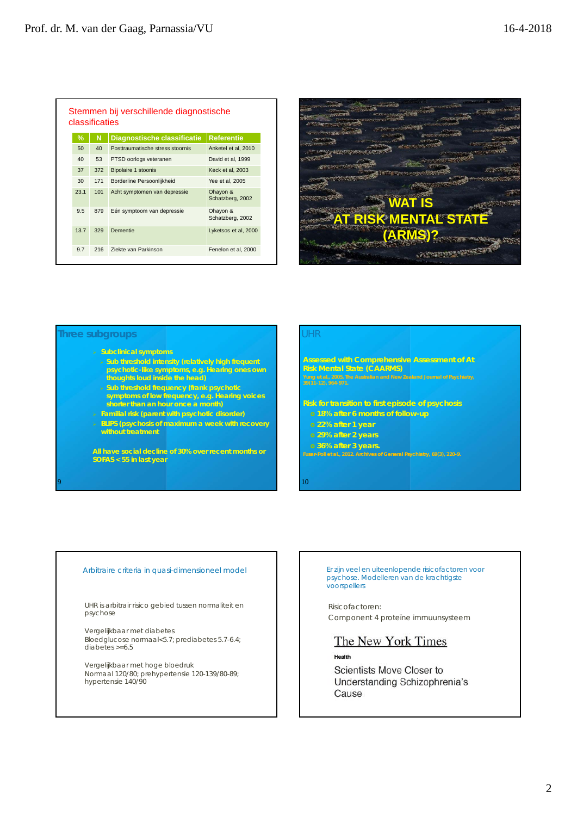|               | classificaties | Stemmen bij verschillende diagnostische |                              |
|---------------|----------------|-----------------------------------------|------------------------------|
| $\frac{9}{6}$ | N              | Diagnostische classificatie             | <b>Referentie</b>            |
| 50            | 40             | Posttraumatische stress stoornis        | Anketel et al. 2010          |
| 40            | 53             | PTSD oorlogs veteranen                  | David et al. 1999            |
| 37            | 372            | Bipolaire 1 stoonis                     | Keck et al, 2003             |
| 30            | 171            | Borderline Persoonlijkheid              | Yee et al. 2005              |
| 23.1          | 101            | Acht symptomen van depressie            | Ohayon &<br>Schatzberg, 2002 |
| 9.5           | 879            | Eén symptoom van depressie              | Ohayon &<br>Schatzberg, 2002 |
| 13.7          | 329            | Dementie                                | Lyketsos et al, 2000         |
| 9.7           | 216            | Ziekte van Parkinson                    | Fenelon et al, 2000          |



#### **Three subgroups**

9

- **Subclinical symptoms**
- **Sub threshold intensity (relatively high frequent psychotic-like symptoms, e.g. Hearing ones own thoughts loud inside the head)**
- **Sub threshold frequency (frank psychotic symptoms of low frequency, e.g. Hearing voices shorter than an hour once a month)**
- **Familial risk (parent with psychotic disorder)**
- **BLIPS (psychosis of maximum a week with recovery without treatment**

**All have social decline of 30% over recent months or SOFAS < 55 in last year**

#### UHR

**Assessed with Comprehensive Assessment of At Risk Mental State (CAARMS)**

**Risk for transition to first episode of psychosis 18% after 6 months of follow-up**

**22% after 1 year**

- **29% after 2 years**
- **36% after 3 years.**

10

#### Arbitraire criteria in quasi-dimensioneel model

UHR is arbitrair risico gebied tussen normaliteit en psychose

Vergelijkbaar met diabetes Bloedglucose normaal<5.7; prediabetes 5.7-6.4; diabetes >=6.5

Vergelijkbaar met hoge bloedruk Normaal 120/80; prehypertensie 120-139/80-89; hypertensie 140/90 Er zijn veel en uiteenlopende risicofactoren voor psychose. Modelleren van de krachtigste voorspellers

Risicofactoren: Component 4 proteïne immuunsysteem

## The New York Times

Health

Scientists Move Closer to Understanding Schizophrenia's Cause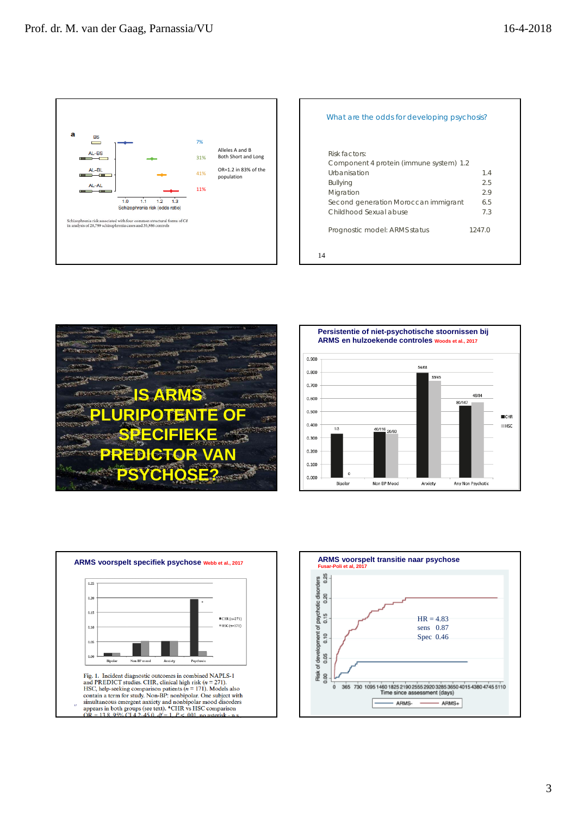

| What are the odds for developing psychosis?              |        |
|----------------------------------------------------------|--------|
| Risk factors:<br>Component 4 protein (immune system) 1.2 |        |
| Urbanisation                                             | 14     |
| <b>Bullying</b>                                          | 2.5    |
| Migration                                                | 2.9    |
| Second generation Moroccan immigrant                     | 6.5    |
| Childhood Sexual abuse                                   | 7.3    |
| Prognostic model: ARMS status                            | 1247.0 |
| 14                                                       |        |







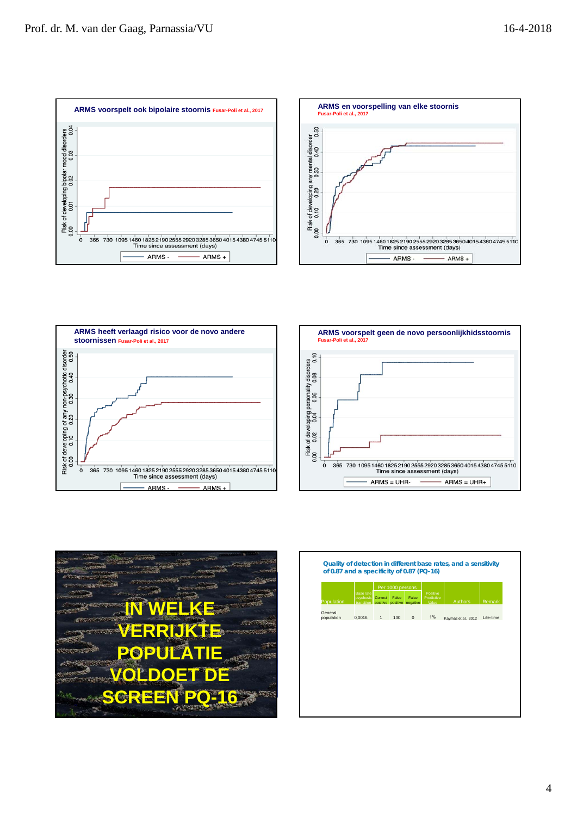









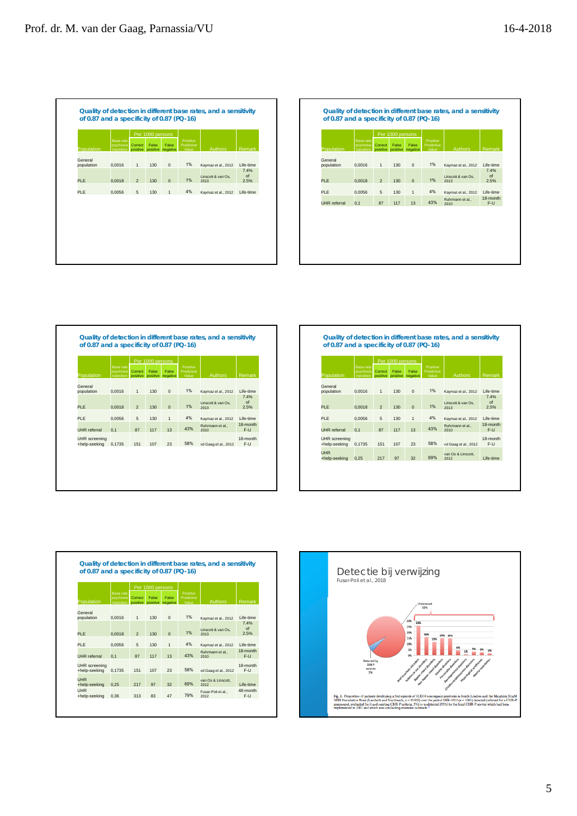| False<br>False<br>Correct<br>Predictive<br>psychosis<br>Population<br>Authors<br>positive positive negative<br>Value<br>transition<br>General<br>1%<br>$\mathbf 0$<br>0.0016<br>population<br>$\mathbf{1}$<br>130<br>Kaymaz et al., 2012<br>Linscott & van Os.<br>1%<br>$\mathbf 0$<br>PLE<br>0.0018<br>$\overline{2}$<br>130<br>2013<br>4%<br><b>PLE</b><br>0,0056<br>5<br>130<br>$\mathbf{1}$<br>Kaymaz et al., 2012 | <b>Base rate</b> | Per 1000 persons | Positive |                    |
|------------------------------------------------------------------------------------------------------------------------------------------------------------------------------------------------------------------------------------------------------------------------------------------------------------------------------------------------------------------------------------------------------------------------|------------------|------------------|----------|--------------------|
|                                                                                                                                                                                                                                                                                                                                                                                                                        |                  |                  |          | Remark             |
|                                                                                                                                                                                                                                                                                                                                                                                                                        |                  |                  |          | Life-time          |
|                                                                                                                                                                                                                                                                                                                                                                                                                        |                  |                  |          | 7.4%<br>of<br>2.5% |
|                                                                                                                                                                                                                                                                                                                                                                                                                        |                  |                  |          | Life-time          |
|                                                                                                                                                                                                                                                                                                                                                                                                                        |                  |                  |          |                    |
|                                                                                                                                                                                                                                                                                                                                                                                                                        |                  |                  |          |                    |
|                                                                                                                                                                                                                                                                                                                                                                                                                        |                  |                  |          |                    |

|                       | <b>Base rate</b><br>psychosis | Correct        | Per 1000 persons<br>False | False                      | Positive<br>Predictive |                                       |                        |
|-----------------------|-------------------------------|----------------|---------------------------|----------------------------|------------------------|---------------------------------------|------------------------|
| Population            | transition                    |                |                           | positive positive negative | Value                  | <b>Authors</b>                        | Remark                 |
| General<br>population | 0.0016                        | 1              | 130                       | $\mathbf{0}$               | 1%                     | Kaymaz et al., 2012                   | Life-time              |
| <b>PLE</b>            | 0.0018                        | $\overline{2}$ | 130                       | $\overline{0}$             | 1%                     | Linscott & van Os.<br>2013            | 7.4%<br>of<br>2.5%     |
|                       |                               |                |                           |                            |                        |                                       |                        |
| <b>PLE</b>            | 0,0056                        | 5              | 130                       | $\mathbf{1}$               | 4%                     | Kaymaz et al., 2012<br>Ruhrmann et al | I ife-time<br>18-month |
| <b>UHR</b> referral   | 0.1                           | 87             | 117                       | 13                         | 43%                    | 2010                                  | $F-U$                  |
|                       |                               |                |                           |                            |                        |                                       |                        |

|                                       | <b>Base rate</b>        |                     | Per 1000 persons<br>False | False             | Positive<br>Predictive |                            |                    |
|---------------------------------------|-------------------------|---------------------|---------------------------|-------------------|------------------------|----------------------------|--------------------|
| Population                            | psychosis<br>transition | Correct<br>positive |                           | positive negative | Value                  | Authors                    | Remark             |
| General                               |                         |                     |                           |                   | 1%                     |                            |                    |
| population                            | 0.0016                  | $\overline{1}$      | 130                       | $\mathbf 0$       |                        | Kaymaz et al., 2012        | I ife-time<br>7.4% |
| <b>PLE</b>                            | 0.0018                  | $\overline{2}$      | 130                       | $\mathbf 0$       | 1%                     | Linscott & van Os.<br>2013 | of<br>2.5%         |
|                                       |                         |                     |                           |                   |                        |                            |                    |
| <b>PLE</b>                            | 0.0056                  | 5                   | 130                       | $\mathbf{1}$      | 4%                     | Kaymaz et al., 2012        | Life-time          |
| <b>UHR</b> referral                   | 0.1                     | 87                  | 117                       | 13                | 43%                    | Ruhrmann et al.,<br>2010   | 18-month<br>$F-U$  |
| <b>UHR</b> screening<br>+help-seeking | 0.1735                  | 151                 | 107                       | 23                | 58%                    | vd Gaag et al., 2012       | 18-month<br>$F-U$  |

|                                       |                                      |                | Per 1000 persons |                                     |                                 |                            |                          |
|---------------------------------------|--------------------------------------|----------------|------------------|-------------------------------------|---------------------------------|----------------------------|--------------------------|
| Population                            | Base rate<br>psychosis<br>transition | Correct        | False            | False<br>positive positive negative | Positive<br>Predictive<br>Value | Authors                    | Remark                   |
| General<br>population                 | 0.0016                               | 1              | 130 <sub>1</sub> | $\Omega$                            | 1%                              | Kaymaz et al., 2012        | I ife-time               |
| PI F                                  | 0.0018                               | $\mathfrak{p}$ | 130 <sub>1</sub> | $\Omega$                            | 1%                              | Linscott & van Os,<br>2013 | 7.4%<br>$\Omega$<br>2.5% |
| PI F                                  | 0.0056                               | 5              | 130              | $\mathbf{1}$                        | 4%                              | Kaymaz et al., 2012        | I ife-time               |
| UHR referral                          | 0.1                                  | 87             | 117              | 13                                  | 43%                             | Ruhrmann et al.,<br>2010   | 18-month<br>$F-U$        |
| <b>UHR</b> screening<br>+help-seeking | 0.1735                               | 151            | 107              | 23                                  | 58%                             | vd Gaag et al., 2012       | 18-month<br>$F-U$        |
| <b>UHR</b><br>+help-seeking           | 0.25                                 | 217            | 97               | 32                                  | 69%                             | van Os & Linscott.<br>2012 | I ife-time               |

|              |                                             |                | Per 1000 persons |                                     |                                 |                            |            |
|--------------|---------------------------------------------|----------------|------------------|-------------------------------------|---------------------------------|----------------------------|------------|
| Population   | Base rate<br><b>psychosis</b><br>transition | Correct        | False            | False<br>positive positive negative | Positive<br>Predictive<br>Value | <b>Authors</b>             | Remark     |
| General      |                                             |                |                  |                                     |                                 |                            |            |
| population   | 0.0016                                      | 1              | 130              | $\Omega$                            | 1%                              | Kaymaz et al., 2012        | I ife-time |
|              |                                             |                |                  |                                     |                                 |                            | 7.4%       |
| PI F         | 0.0018                                      | $\mathfrak{p}$ | 130              | $\Omega$                            | 1%                              | Linscott & van Os.<br>2013 | of<br>2.5% |
| PI F         | 0.0056                                      | 5              | 130              | $\mathbf{1}$                        | 4%                              | Kaymaz et al., 2012        | I ife-time |
|              |                                             |                |                  |                                     |                                 | Ruhrmann et al             | 18-month   |
| UHR referral | 0.1                                         | 87             | 117              | 13                                  | 43%                             | 2010                       | $F-U$      |

UHR +help-seeking 0,25 217 97 32 69% van Os & Linscott, 2012 Life-time UHR +help-seeking 0,36 313 83 47 79% Fusar-Poli et al., 2012 48-month F-U

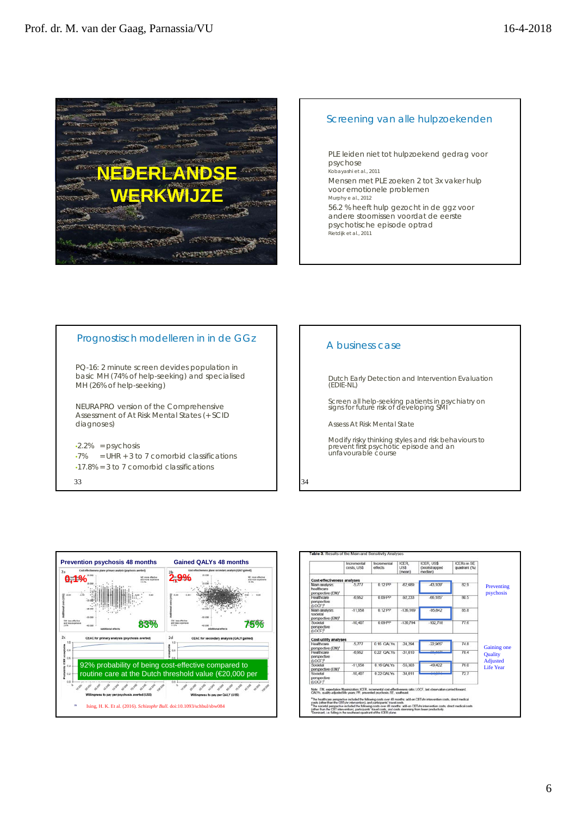

## Screening van alle hulpzoekenden

PLE leiden niet tot hulpzoekend gedrag voor psychose Kobayashi et al., 2011 Mensen met PLE zoeken 2 tot 3x vaker hulp voor emotionele problemen Murphy e al., 2012 56.2 % heeft hulp gezocht in de ggz voor andere stoornissen voordat de eerste psychotische episode optrad Rietdijk et al., 2011

## Prognostisch modelleren in in de GGz

PQ-16: 2 minute screen devides population in basic MH (74% of help-seeking) and specialised MH (26% of help-seeking)

NEURAPRO version of the Comprehensive Assessment of At Risk Mental States (+ SCID diagnoses)

 $\cdot$ 2.2% = psychosis  $\cdot$ 7% = UHR + 3 to 7 comorbid classifications •17.8% = 3 to 7 comorbid classifications

33



|                                                                                                                                                                                                                                                                                                                                                                                                                                                                                                                                                                                                                                                                                                                                            | Incremental<br>costs. US\$ | Incremental<br>offects. | ICER.<br><b>ZZU</b><br>(mean) | <b>ICER US\$</b><br>(bootstrapped)<br>median) | <b>ICERs in SE</b><br>quadrant (%) |                                   |
|--------------------------------------------------------------------------------------------------------------------------------------------------------------------------------------------------------------------------------------------------------------------------------------------------------------------------------------------------------------------------------------------------------------------------------------------------------------------------------------------------------------------------------------------------------------------------------------------------------------------------------------------------------------------------------------------------------------------------------------------|----------------------------|-------------------------|-------------------------------|-----------------------------------------------|------------------------------------|-----------------------------------|
| Cost-effectiveness analyses                                                                                                                                                                                                                                                                                                                                                                                                                                                                                                                                                                                                                                                                                                                |                            |                         |                               |                                               |                                    |                                   |
| Main analysis:<br>healthcare<br>perspective (EM)*                                                                                                                                                                                                                                                                                                                                                                                                                                                                                                                                                                                                                                                                                          | 5.777                      | 0.12 PP                 | $-62689$                      | $-43,109$ <sup>e</sup>                        | 829                                | Preventing<br>psychosis           |
| Healthcare<br>perspective<br>(LOCF)*                                                                                                                                                                                                                                                                                                                                                                                                                                                                                                                                                                                                                                                                                                       | $-6.962$                   | 0.09 PP                 | $-92,233$                     | $-66.185$ <sup>*</sup>                        | 80.5                               |                                   |
| Main analysis:<br>societal<br>perspective (EM) <sup>6</sup>                                                                                                                                                                                                                                                                                                                                                                                                                                                                                                                                                                                                                                                                                | $-11,968$                  | $0.12$ PP               | $-136.169$                    | $-95,842$                                     | 85.8                               |                                   |
| Societal<br>perspective<br>(LOCE)*                                                                                                                                                                                                                                                                                                                                                                                                                                                                                                                                                                                                                                                                                                         | $-10.407$                  | 0.09 PP                 | $-136.794$                    | $-102.718$                                    | 776                                |                                   |
| <b>Cost-utility analyses</b>                                                                                                                                                                                                                                                                                                                                                                                                                                                                                                                                                                                                                                                                                                               |                            |                         |                               |                                               |                                    |                                   |
| <b>Healthcare</b><br>perspective (EM)*                                                                                                                                                                                                                                                                                                                                                                                                                                                                                                                                                                                                                                                                                                     | $-5.777$                   | 0.16 QALYs              | $-24.294$                     | $-22.965$ <sup>*</sup>                        | 74.8                               | Gaining one                       |
| Healthcare<br>perspective<br>(LOCF)*                                                                                                                                                                                                                                                                                                                                                                                                                                                                                                                                                                                                                                                                                                       | $-6.952$                   | 0.22 OALYS              | $-31.010$                     | An anter                                      | 78.4                               | <b>Quality</b><br><b>Adjusted</b> |
| Societal<br>perspective (EM) <sup>b</sup>                                                                                                                                                                                                                                                                                                                                                                                                                                                                                                                                                                                                                                                                                                  | $-11.958$                  | $0.16$ OAI Ys           | $-55.303$                     | 49 422                                        | 760                                | <b>Life Year</b>                  |
| Sociotal<br>perspective<br>(LOCE)*                                                                                                                                                                                                                                                                                                                                                                                                                                                                                                                                                                                                                                                                                                         | $-10.407$                  | 0.22 QALYs              | $-34.011$                     |                                               | $\overline{727}$                   |                                   |
| Note: EM, expectation Maximization: ICER, incremental cost-effectiveness ratio: LOCF, last observation carried forward:<br>QALYs. quality-adjusted life years; PP, prevented psychosis; SE, southeast.<br>*The healthcare perspective included the following costs over 48 months: add-on CBTuhr intervention costs, direct medical<br>costs (other than the CBTuhr intervention), and participants' travel costs.<br>*The societal perspective included the talipaing costs over 48 months; add-on CBTuhr intervention costs, direct medical costs.<br>(other than the CBT intervention), participants' travel costs, and costs stemming from lower productivity.<br>"Dominant, i.e. falling in the southeast-quadrant of the ICER plane. |                            |                         |                               |                                               |                                    |                                   |

## A business case

Dutch Early Detection and Intervention Evaluation (EDIE-NL)

Screen all help-seeking patients in psychiatry on signs for future risk of developing SMI

Assess At Risk Mental State

Modify risky thinking styles and risk behaviours to prevent first psychotic episode and an unfavourable course

34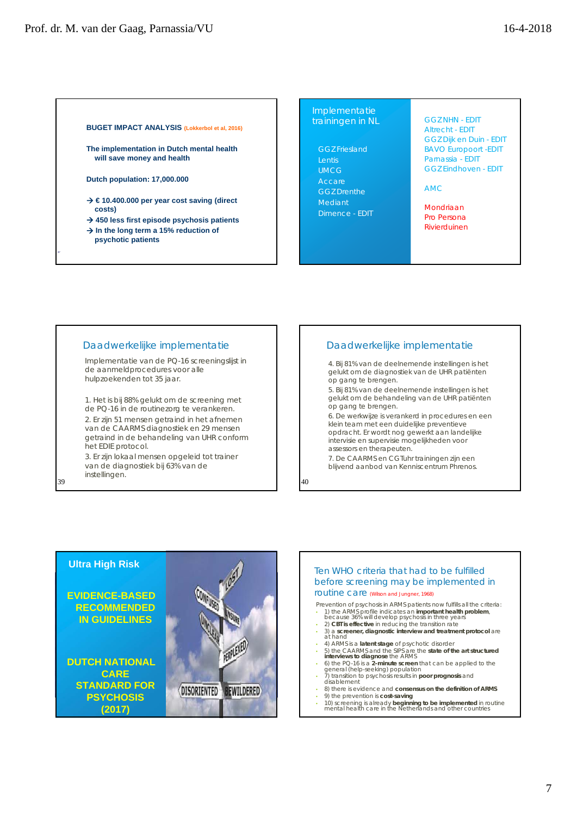#### **BUGET IMPACT ANALYSIS (Lokkerbol et al, 2016)**

**The implementation in Dutch mental health will save money and health**

**Dutch population: 17,000.000**

- **€ 10.400.000 per year cost saving (direct costs)**
- **450 less first episode psychosis patients**
- → In the long term a 15% reduction of
	- **psychotic patients**

#### Implementatie trainingen in NL

## GGZ Friesland

Lentis UMCG GGZ Drenthe Dimence - EDIT GGZ NHN - EDIT Altrecht - EDIT GGZ Dijk en Duin - EDIT BAVO Europoort -EDIT Parnassia - EDIT GGZ Eindhoven - EDIT

#### AMC

Mondriaan Pro Persona Rivierduinen

#### Daadwerkelijke implementatie

Implementatie van de PQ-16 screeningslijst in de aanmeldprocedures voor alle hulpzoekenden tot 35 jaar.

1. Het is bij 88% gelukt om de screening met de PQ-16 in de routinezorg te verankeren. 2. Er zijn 51 mensen getraind in het afnemen van de CAARMS diagnostiek en 29 mensen getraind in de behandeling van UHR conform het EDIE protocol.

3. Er zijn lokaal mensen opgeleid tot trainer van de diagnostiek bij 63% van de instellingen.

39

### Daadwerkelijke implementatie

4. Bij 81% van de deelnemende instellingen is het gelukt om de diagnostiek van de UHR patiënten op gang te brengen.

5. Bij 81% van de deelnemende instellingen is het gelukt om de behandeling van de UHR patiënten op gang te brengen.

6. De werkwijze is verankerd in procedures en een klein team met een duidelijke preventieve opdracht. Er wordt nog gewerkt aan landelijke intervisie en supervisie mogelijkheden voor assessors en therapeuten.

7. De CAARMS en CGTuhr trainingen zijn een blijvend aanbod van Kenniscentrum Phrenos.

40



#### Ten WHO criteria that had to be fulfilled before screening may be implemented in routine care (Wilson and Jungner, 1968)

Prevention of psychosis in ARMS patients now fulfills all the criteria:

- 1) the ARMS profile indicates an **important health problem**, because 36% will develop psychosis in three years
- 2) **CBT is effective** in reducing the transition rate
- 3) a **screener, diagnostic interview and treatment protocol** are at hand
- 
- 4) ARMS is a **latent stage** of psychotic disorder 5) the CAARMS and the SIPS are the **state of the art structured interviews to diagnose** the ARMS
- 6) the PQ-16 is a **2-minute screen** that can be applied to the general (help-seeking) population
- 
- 7) transition to psychosis results in **poor prognosis** and disablement • 8) there is evidence and **consensus on the definition of ARMS**
- 9) the prevention is **cost-saving**
- 10) screening is already **beginning to be implemented** in routine mental health care in the Netherlands and other countries